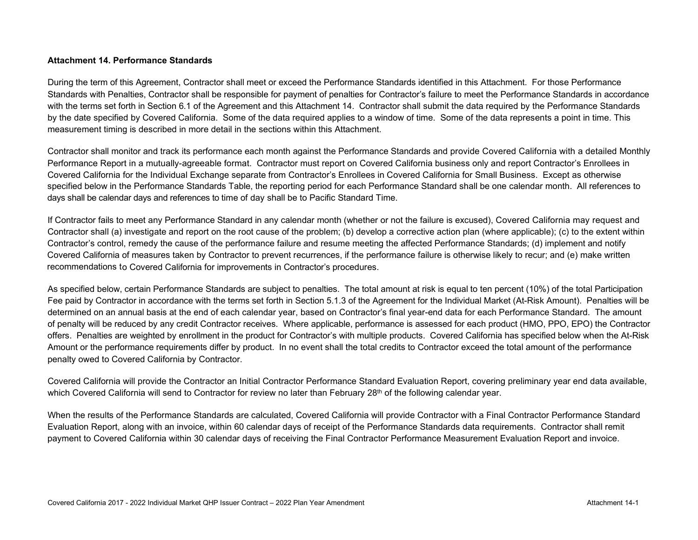#### **Attachment 14. Performance Standards**

During the term of this Agreement, Contractor shall meet or exceed the Performance Standards identified in this Attachment. For those Performance Standards with Penalties, Contractor shall be responsible for payment of penalties for Contractor's failure to meet the Performance Standards in accordance with the terms set forth in Section 6.1 of the Agreement and this Attachment 14. Contractor shall submit the data required by the Performance Standards by the date specified by Covered California. Some of the data required applies to a window of time. Some of the data represents a point in time. This measurement timing is described in more detail in the sections within this Attachment.

Contractor shall monitor and track its performance each month against the Performance Standards and provide Covered California with a detailed Monthly Performance Report in a mutually-agreeable format. Contractor must report on Covered California business only and report Contractor's Enrollees in Covered California for the Individual Exchange separate from Contractor's Enrollees in Covered California for Small Business. Except as otherwise specified below in the Performance Standards Table, the reporting period for each Performance Standard shall be one calendar month. All references to days shall be calendar days and references to time of day shall be to Pacific Standard Time.

If Contractor fails to meet any Performance Standard in any calendar month (whether or not the failure is excused), Covered California may request and Contractor shall (a) investigate and report on the root cause of the problem; (b) develop a corrective action plan (where applicable); (c) to the extent within Contractor's control, remedy the cause of the performance failure and resume meeting the affected Performance Standards; (d) implement and notify Covered California of measures taken by Contractor to prevent recurrences, if the performance failure is otherwise likely to recur; and (e) make written recommendations to Covered California for improvements in Contractor's procedures.

As specified below, certain Performance Standards are subject to penalties. The total amount at risk is equal to ten percent (10%) of the total Participation Fee paid by Contractor in accordance with the terms set forth in Section 5.1.3 of the Agreement for the Individual Market (At-Risk Amount). Penalties will be determined on an annual basis at the end of each calendar year, based on Contractor's final year-end data for each Performance Standard. The amount of penalty will be reduced by any credit Contractor receives. Where applicable, performance is assessed for each product (HMO, PPO, EPO) the Contractor offers. Penalties are weighted by enrollment in the product for Contractor's with multiple products. Covered California has specified below when the At-Risk Amount or the performance requirements differ by product. In no event shall the total credits to Contractor exceed the total amount of the performance penalty owed to Covered California by Contractor.

Covered California will provide the Contractor an Initial Contractor Performance Standard Evaluation Report, covering preliminary year end data available, which Covered California will send to Contractor for review no later than February 28<sup>th</sup> of the following calendar year.

When the results of the Performance Standards are calculated, Covered California will provide Contractor with a Final Contractor Performance Standard Evaluation Report, along with an invoice, within 60 calendar days of receipt of the Performance Standards data requirements. Contractor shall remit payment to Covered California within 30 calendar days of receiving the Final Contractor Performance Measurement Evaluation Report and invoice.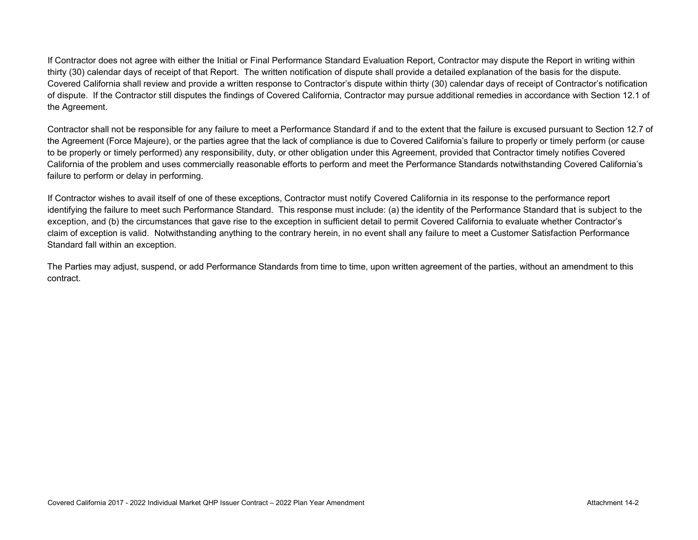If Contractor does not agree with either the Initial or Final Performance Standard Evaluation Report, Contractor may dispute the Report in writing within thirty (30) calendar days of receipt of that Report. The written notification of dispute shall provide a detailed explanation of the basis for the dispute. Covered California shall review and provide a written response to Contractor's dispute within thirty (30) calendar days of receipt of Contractor's notification of dispute. If the Contractor still disputes the findings of Covered California, Contractor may pursue additional remedies in accordance with Section 12.1 of the Agreement.

Contractor shall not be responsible for any failure to meet a Performance Standard if and to the extent that the failure is excused pursuant to Section 12.7 of the Agreement (Force Majeure), or the parties agree that the lack of compliance is due to Covered California's failure to properly or timely perform (or cause to be properly or timely performed) any responsibility, duty, or other obligation under this Agreement, provided that Contractor timely notifies Covered California of the problem and uses commercially reasonable efforts to perform and meet the Performance Standards notwithstanding Covered California's failure to perform or delay in performing.

If Contractor wishes to avail itself of one of these exceptions, Contractor must notify Covered California in its response to the performance report identifying the failure to meet such Performance Standard. This response must include: (a) the identity of the Performance Standard that is subject to the exception, and (b) the circumstances that gave rise to the exception in sufficient detail to permit Covered California to evaluate whether Contractor's claim of exception is valid. Notwithstanding anything to the contrary herein, in no event shall any failure to meet a Customer Satisfaction Performance Standard fall within an exception.

The Parties may adjust, suspend, or add Performance Standards from time to time, upon written agreement of the parties, without an amendment to this contract.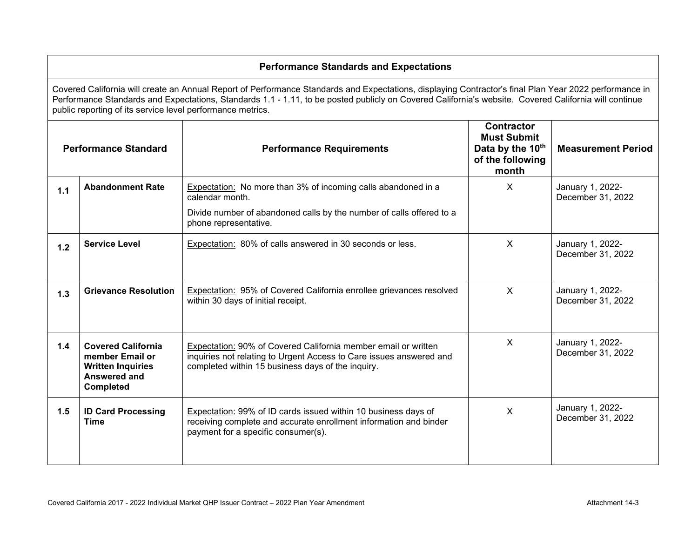#### **Performance Standards and Expectations** Covered California will create an Annual Report of Performance Standards and Expectations, displaying Contractor's final Plan Year 2022 performance in Performance Standards and Expectations, Standards 1.1 - 1.11, to be posted publicly on Covered California's website. Covered California will continue public reporting of its service level performance metrics. **Performance Standard Performance Requirements Contractor Must Submit**  Data by the 10<sup>th</sup> **of the following month Measurement Period 1.1 Abandonment Rate** | Expectation: No more than 3% of incoming calls abandoned in a calendar month. Divide number of abandoned calls by the number of calls offered to a phone representative. X January 1, 2022- December 31, 2022 1.2 **Service Level Expectation: 80% of calls answered in 30 seconds or less.** X X January 1, 2022-December 31, 2022 **1.3** Grievance Resolution | Expectation: 95% of Covered California enrollee grievances resolved within 30 days of initial receipt. X January 1, 2022- December 31, 2022 **1.4 Covered California member Email or Written Inquiries Answered and Completed**  Expectation: 90% of Covered California member email or written inquiries not relating to Urgent Access to Care issues answered and completed within 15 business days of the inquiry. X January 1, 2022- December 31, 2022 **1.5 ID Card Processing Time** Expectation: 99% of ID cards issued within 10 business days of receiving complete and accurate enrollment information and binder payment for a specific consumer(s).  $\chi$  January 1, 2022-December 31, 2022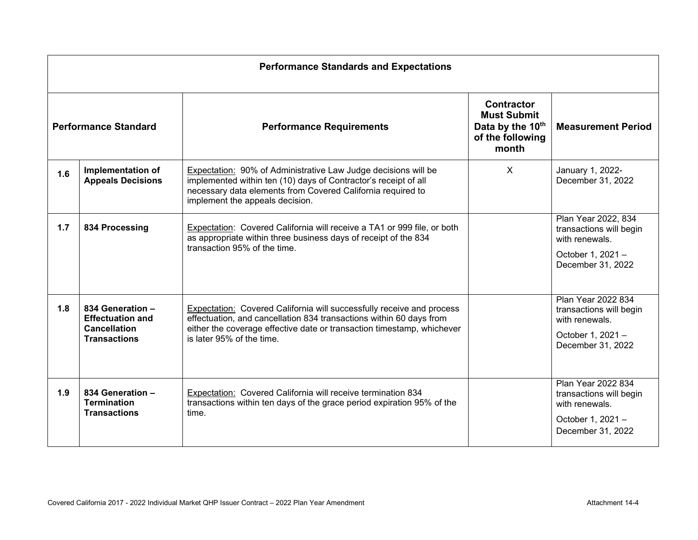|     | <b>Performance Standards and Expectations</b>                                             |                                                                                                                                                                                                                                                     |                                                                                          |                                                                                                            |  |  |  |
|-----|-------------------------------------------------------------------------------------------|-----------------------------------------------------------------------------------------------------------------------------------------------------------------------------------------------------------------------------------------------------|------------------------------------------------------------------------------------------|------------------------------------------------------------------------------------------------------------|--|--|--|
|     | <b>Performance Standard</b>                                                               | <b>Performance Requirements</b>                                                                                                                                                                                                                     | <b>Contractor</b><br><b>Must Submit</b><br>Data by the 10th<br>of the following<br>month | <b>Measurement Period</b>                                                                                  |  |  |  |
| 1.6 | <b>Implementation of</b><br><b>Appeals Decisions</b>                                      | Expectation: 90% of Administrative Law Judge decisions will be<br>implemented within ten (10) days of Contractor's receipt of all<br>necessary data elements from Covered California required to<br>implement the appeals decision.                 | X                                                                                        | January 1, 2022-<br>December 31, 2022                                                                      |  |  |  |
| 1.7 | 834 Processing                                                                            | Expectation: Covered California will receive a TA1 or 999 file, or both<br>as appropriate within three business days of receipt of the 834<br>transaction 95% of the time.                                                                          |                                                                                          | Plan Year 2022, 834<br>transactions will begin<br>with renewals.<br>October 1, 2021 -<br>December 31, 2022 |  |  |  |
| 1.8 | 834 Generation -<br><b>Effectuation and</b><br><b>Cancellation</b><br><b>Transactions</b> | Expectation: Covered California will successfully receive and process<br>effectuation, and cancellation 834 transactions within 60 days from<br>either the coverage effective date or transaction timestamp, whichever<br>is later 95% of the time. |                                                                                          | Plan Year 2022 834<br>transactions will begin<br>with renewals.<br>October 1, 2021 -<br>December 31, 2022  |  |  |  |
| 1.9 | 834 Generation -<br><b>Termination</b><br><b>Transactions</b>                             | Expectation: Covered California will receive termination 834<br>transactions within ten days of the grace period expiration 95% of the<br>time.                                                                                                     |                                                                                          | Plan Year 2022 834<br>transactions will begin<br>with renewals.<br>October 1, 2021 -<br>December 31, 2022  |  |  |  |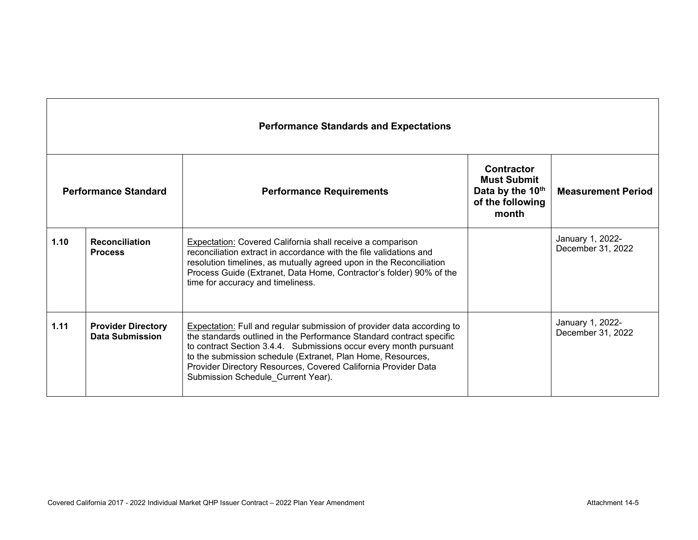|      | <b>Performance Standards and Expectations</b>       |                                                                                                                                                                                                                                                                                                                                                                                                   |                                                                                                                       |                                       |  |  |  |  |
|------|-----------------------------------------------------|---------------------------------------------------------------------------------------------------------------------------------------------------------------------------------------------------------------------------------------------------------------------------------------------------------------------------------------------------------------------------------------------------|-----------------------------------------------------------------------------------------------------------------------|---------------------------------------|--|--|--|--|
|      | <b>Performance Standard</b>                         | <b>Performance Requirements</b>                                                                                                                                                                                                                                                                                                                                                                   | <b>Contractor</b><br><b>Must Submit</b><br>Data by the 10th<br><b>Measurement Period</b><br>of the following<br>month |                                       |  |  |  |  |
| 1.10 | <b>Reconciliation</b><br><b>Process</b>             | Expectation: Covered California shall receive a comparison<br>reconciliation extract in accordance with the file validations and<br>resolution timelines, as mutually agreed upon in the Reconciliation<br>Process Guide (Extranet, Data Home, Contractor's folder) 90% of the<br>time for accuracy and timeliness.                                                                               |                                                                                                                       | January 1, 2022-<br>December 31, 2022 |  |  |  |  |
| 1.11 | <b>Provider Directory</b><br><b>Data Submission</b> | <b>Expectation:</b> Full and regular submission of provider data according to<br>the standards outlined in the Performance Standard contract specific<br>to contract Section 3.4.4. Submissions occur every month pursuant<br>to the submission schedule (Extranet, Plan Home, Resources,<br>Provider Directory Resources, Covered California Provider Data<br>Submission Schedule_Current Year). |                                                                                                                       | January 1, 2022-<br>December 31, 2022 |  |  |  |  |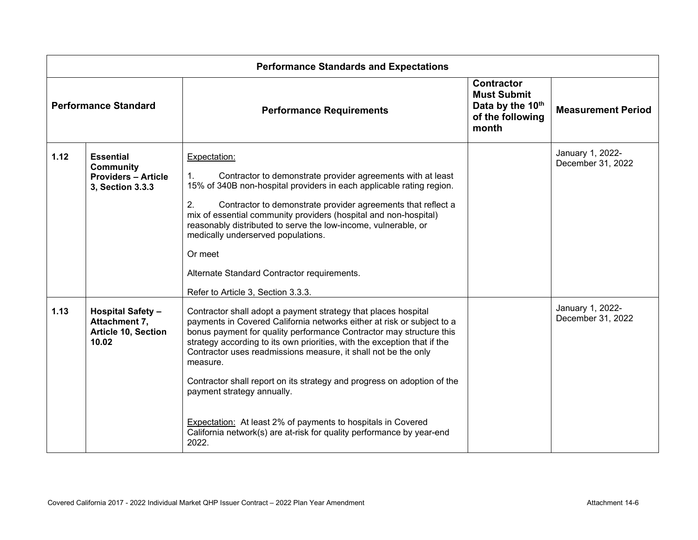| <b>Performance Standards and Expectations</b>                                            |                                                                                        |                                                                                                                                                                                                                                                                                                                                                                                                                                                                                                                                                                                                                                             |                                                                                          |                                       |  |
|------------------------------------------------------------------------------------------|----------------------------------------------------------------------------------------|---------------------------------------------------------------------------------------------------------------------------------------------------------------------------------------------------------------------------------------------------------------------------------------------------------------------------------------------------------------------------------------------------------------------------------------------------------------------------------------------------------------------------------------------------------------------------------------------------------------------------------------------|------------------------------------------------------------------------------------------|---------------------------------------|--|
| <b>Performance Standard</b>                                                              |                                                                                        | <b>Performance Requirements</b>                                                                                                                                                                                                                                                                                                                                                                                                                                                                                                                                                                                                             | <b>Contractor</b><br><b>Must Submit</b><br>Data by the 10th<br>of the following<br>month | <b>Measurement Period</b>             |  |
| 1.12                                                                                     | <b>Essential</b><br><b>Community</b><br><b>Providers - Article</b><br>3, Section 3.3.3 | Expectation:<br>$\mathbf{1}$ .<br>Contractor to demonstrate provider agreements with at least<br>15% of 340B non-hospital providers in each applicable rating region.<br>2.<br>Contractor to demonstrate provider agreements that reflect a<br>mix of essential community providers (hospital and non-hospital)<br>reasonably distributed to serve the low-income, vulnerable, or<br>medically underserved populations.<br>Or meet<br>Alternate Standard Contractor requirements.<br>Refer to Article 3, Section 3.3.3.                                                                                                                     |                                                                                          | January 1, 2022-<br>December 31, 2022 |  |
| 1.13<br><b>Hospital Safety -</b><br>Attachment 7,<br><b>Article 10, Section</b><br>10.02 |                                                                                        | Contractor shall adopt a payment strategy that places hospital<br>payments in Covered California networks either at risk or subject to a<br>bonus payment for quality performance Contractor may structure this<br>strategy according to its own priorities, with the exception that if the<br>Contractor uses readmissions measure, it shall not be the only<br>measure.<br>Contractor shall report on its strategy and progress on adoption of the<br>payment strategy annually.<br><b>Expectation:</b> At least 2% of payments to hospitals in Covered<br>California network(s) are at-risk for quality performance by year-end<br>2022. |                                                                                          | January 1, 2022-<br>December 31, 2022 |  |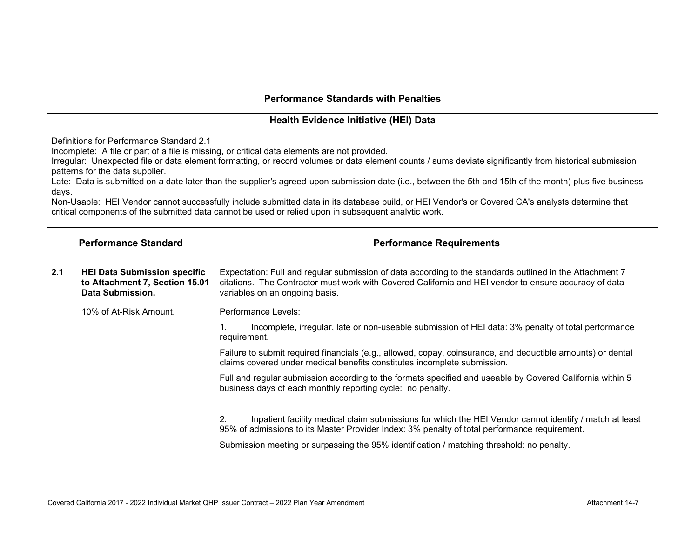### **Health Evidence Initiative (HEI) Data**

Definitions for Performance Standard 2.1

Incomplete: A file or part of a file is missing, or critical data elements are not provided.

Irregular: Unexpected file or data element formatting, or record volumes or data element counts / sums deviate significantly from historical submission patterns for the data supplier.

Late: Data is submitted on a date later than the supplier's agreed-upon submission date (i.e., between the 5th and 15th of the month) plus five business days.

Non-Usable: HEI Vendor cannot successfully include submitted data in its database build, or HEI Vendor's or Covered CA's analysts determine that critical components of the submitted data cannot be used or relied upon in subsequent analytic work.

| <b>Performance Standard</b> |                                                                                           | <b>Performance Requirements</b>                                                                                                                                                                                                                     |  |  |
|-----------------------------|-------------------------------------------------------------------------------------------|-----------------------------------------------------------------------------------------------------------------------------------------------------------------------------------------------------------------------------------------------------|--|--|
| 2.1                         | <b>HEI Data Submission specific</b><br>to Attachment 7, Section 15.01<br>Data Submission. | Expectation: Full and regular submission of data according to the standards outlined in the Attachment 7<br>citations. The Contractor must work with Covered California and HEI vendor to ensure accuracy of data<br>variables on an ongoing basis. |  |  |
|                             | 10% of At-Risk Amount.                                                                    | Performance Levels:                                                                                                                                                                                                                                 |  |  |
|                             |                                                                                           | Incomplete, irregular, late or non-useable submission of HEI data: 3% penalty of total performance<br>requirement.                                                                                                                                  |  |  |
|                             |                                                                                           | Failure to submit required financials (e.g., allowed, copay, coinsurance, and deductible amounts) or dental<br>claims covered under medical benefits constitutes incomplete submission.                                                             |  |  |
|                             |                                                                                           | Full and regular submission according to the formats specified and useable by Covered California within 5<br>business days of each monthly reporting cycle: no penalty.                                                                             |  |  |
|                             |                                                                                           | Inpatient facility medical claim submissions for which the HEI Vendor cannot identify / match at least<br>2.<br>95% of admissions to its Master Provider Index: 3% penalty of total performance requirement.                                        |  |  |
|                             |                                                                                           | Submission meeting or surpassing the 95% identification / matching threshold: no penalty.                                                                                                                                                           |  |  |
|                             |                                                                                           |                                                                                                                                                                                                                                                     |  |  |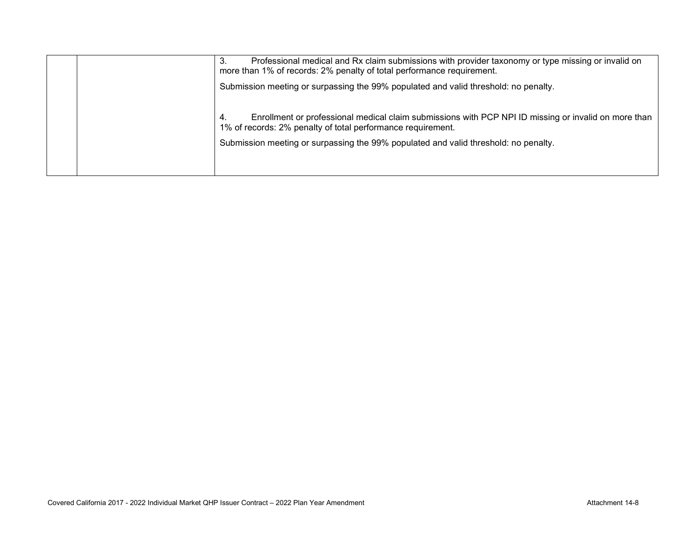|  | Professional medical and Rx claim submissions with provider taxonomy or type missing or invalid on<br>3.<br>more than 1% of records: 2% penalty of total performance requirement. |
|--|-----------------------------------------------------------------------------------------------------------------------------------------------------------------------------------|
|  | Submission meeting or surpassing the 99% populated and valid threshold: no penalty.                                                                                               |
|  | Enrollment or professional medical claim submissions with PCP NPI ID missing or invalid on more than<br>4.<br>1% of records: 2% penalty of total performance requirement.         |
|  | Submission meeting or surpassing the 99% populated and valid threshold: no penalty.                                                                                               |
|  |                                                                                                                                                                                   |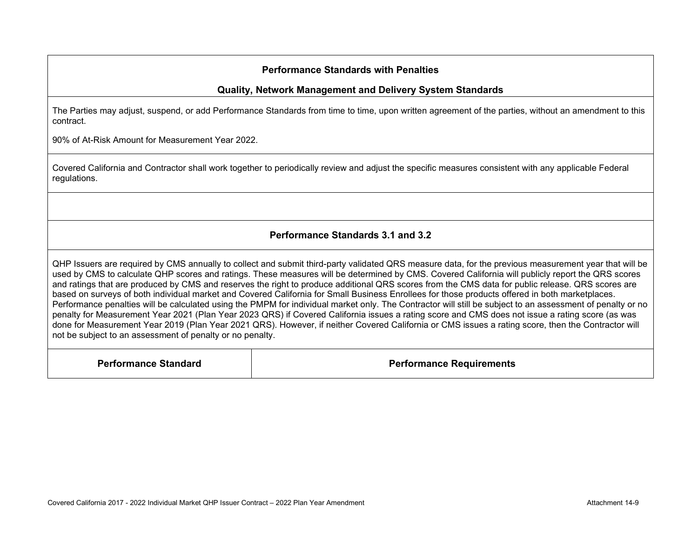### **Quality, Network Management and Delivery System Standards**

The Parties may adjust, suspend, or add Performance Standards from time to time, upon written agreement of the parties, without an amendment to this contract.

90% of At-Risk Amount for Measurement Year 2022.

Covered California and Contractor shall work together to periodically review and adjust the specific measures consistent with any applicable Federal regulations.

## **Performance Standards 3.1 and 3.2**

QHP Issuers are required by CMS annually to collect and submit third-party validated QRS measure data, for the previous measurement year that will be used by CMS to calculate QHP scores and ratings. These measures will be determined by CMS. Covered California will publicly report the QRS scores and ratings that are produced by CMS and reserves the right to produce additional QRS scores from the CMS data for public release. QRS scores are based on surveys of both individual market and Covered California for Small Business Enrollees for those products offered in both marketplaces. Performance penalties will be calculated using the PMPM for individual market only. The Contractor will still be subject to an assessment of penalty or no penalty for Measurement Year 2021 (Plan Year 2023 QRS) if Covered California issues a rating score and CMS does not issue a rating score (as was done for Measurement Year 2019 (Plan Year 2021 QRS). However, if neither Covered California or CMS issues a rating score, then the Contractor will not be subject to an assessment of penalty or no penalty.

**Performance Standard Performance Requirements**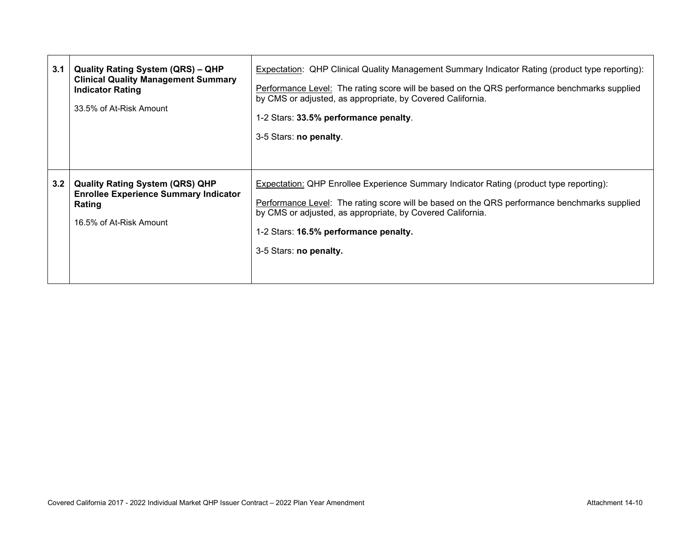| 3.1 | <b>Quality Rating System (QRS) - QHP</b><br><b>Clinical Quality Management Summary</b><br><b>Indicator Rating</b><br>33.5% of At-Risk Amount | <b>Expectation: QHP Clinical Quality Management Summary Indicator Rating (product type reporting):</b><br>Performance Level: The rating score will be based on the QRS performance benchmarks supplied<br>by CMS or adjusted, as appropriate, by Covered California.<br>1-2 Stars: 33.5% performance penalty.<br>3-5 Stars: no penalty. |
|-----|----------------------------------------------------------------------------------------------------------------------------------------------|-----------------------------------------------------------------------------------------------------------------------------------------------------------------------------------------------------------------------------------------------------------------------------------------------------------------------------------------|
| 3.2 | <b>Quality Rating System (QRS) QHP</b><br><b>Enrollee Experience Summary Indicator</b><br>Rating<br>16.5% of At-Risk Amount                  | Expectation: QHP Enrollee Experience Summary Indicator Rating (product type reporting):<br>Performance Level: The rating score will be based on the QRS performance benchmarks supplied<br>by CMS or adjusted, as appropriate, by Covered California.<br>1-2 Stars: 16.5% performance penalty.<br>3-5 Stars: no penalty.                |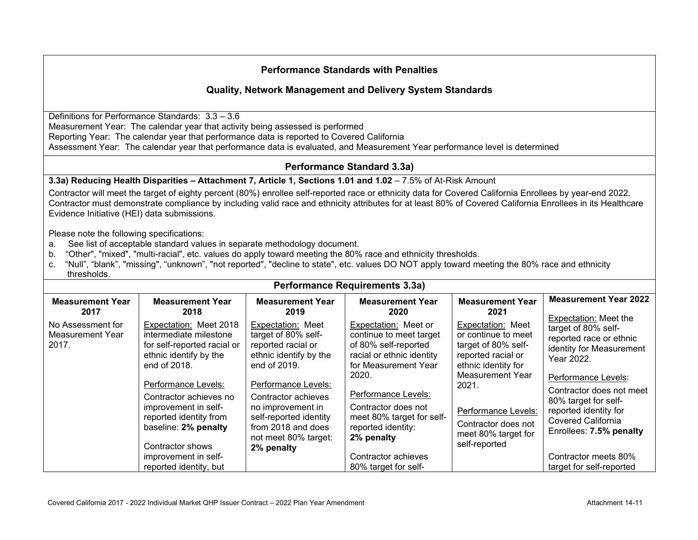## **Quality, Network Management and Delivery System Standards**

Definitions for Performance Standards: 3.3 – 3.6 Measurement Year: The calendar year that activity being assessed is performed Reporting Year: The calendar year that performance data is reported to Covered California Assessment Year: The calendar year that performance data is evaluated, and Measurement Year performance level is determined

## **Performance Standard 3.3a)**

#### **3.3a) Reducing Health Disparities – Attachment 7, Article 1, Sections 1.01 and 1.02** – 7.5% of At-Risk Amount

Contractor will meet the target of eighty percent (80%) enrollee self-reported race or ethnicity data for Covered California Enrollees by year-end 2022. Contractor must demonstrate compliance by including valid race and ethnicity attributes for at least 80% of Covered California Enrollees in its Healthcare Evidence Initiative (HEI) data submissions.

#### Please note the following specifications:

- a. See list of acceptable standard values in separate methodology document.
- b. "Other", "mixed", "multi-racial", etc. values do apply toward meeting the 80% race and ethnicity thresholds.
- c. "Null", "blank", "missing", "unknown", "not reported", "decline to state", etc. values DO NOT apply toward meeting the 80% race and ethnicity thresholds.

| <b>Performance Requirements 3.3a)</b>          |                                                                                                                                                                                                                                                                                                                            |                                                                                                                                                                                                                                                                   |                                                                                                                                                                                                                                                                                                     |                                                                                                                                                                                                                                        |                                                                                                                                                                                                                                                                                                          |  |  |
|------------------------------------------------|----------------------------------------------------------------------------------------------------------------------------------------------------------------------------------------------------------------------------------------------------------------------------------------------------------------------------|-------------------------------------------------------------------------------------------------------------------------------------------------------------------------------------------------------------------------------------------------------------------|-----------------------------------------------------------------------------------------------------------------------------------------------------------------------------------------------------------------------------------------------------------------------------------------------------|----------------------------------------------------------------------------------------------------------------------------------------------------------------------------------------------------------------------------------------|----------------------------------------------------------------------------------------------------------------------------------------------------------------------------------------------------------------------------------------------------------------------------------------------------------|--|--|
| <b>Measurement Year</b><br>2017                | <b>Measurement Year</b><br>2018                                                                                                                                                                                                                                                                                            | <b>Measurement Year</b><br>2019                                                                                                                                                                                                                                   | <b>Measurement Year</b><br>2020                                                                                                                                                                                                                                                                     | <b>Measurement Year</b><br>2021                                                                                                                                                                                                        | <b>Measurement Year 2022</b><br>Expectation: Meet the                                                                                                                                                                                                                                                    |  |  |
| No Assessment for<br>Measurement Year<br>2017. | Expectation: Meet 2018<br>intermediate milestone<br>for self-reported racial or<br>ethnic identify by the<br>end of 2018.<br>Performance Levels:<br>Contractor achieves no<br>improvement in self-<br>reported identity from<br>baseline: 2% penalty<br>Contractor shows<br>improvement in self-<br>reported identity, but | Expectation: Meet<br>target of 80% self-<br>reported racial or<br>ethnic identify by the<br>end of 2019.<br>Performance Levels:<br>Contractor achieves<br>no improvement in<br>self-reported identity<br>from 2018 and does<br>not meet 80% target:<br>2% penalty | Expectation: Meet or<br>continue to meet target<br>of 80% self-reported<br>racial or ethnic identity<br>for Measurement Year<br>2020.<br>Performance Levels:<br>Contractor does not<br>meet 80% target for self-<br>reported identity:<br>2% penalty<br>Contractor achieves<br>80% target for self- | Expectation: Meet<br>or continue to meet<br>target of 80% self-<br>reported racial or<br>ethnic identity for<br><b>Measurement Year</b><br>2021.<br>Performance Levels:<br>Contractor does not<br>meet 80% target for<br>self-reported | target of 80% self-<br>reported race or ethnic<br>identity for Measurement<br>Year 2022.<br>Performance Levels:<br>Contractor does not meet<br>80% target for self-<br>reported identity for<br><b>Covered California</b><br>Enrollees: 7.5% penalty<br>Contractor meets 80%<br>target for self-reported |  |  |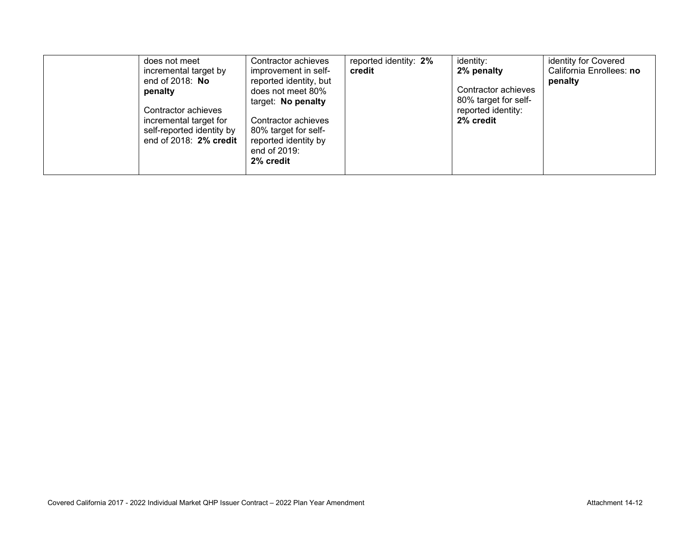| does not meet<br>incremental target by<br>end of $2018$ : No<br>penalty<br>Contractor achieves<br>incremental target for<br>self-reported identity by<br>end of $2018:2\%$ credit | Contractor achieves<br>improvement in self-<br>reported identity, but<br>does not meet 80%<br>target: No penalty<br>Contractor achieves<br>80% target for self-<br>reported identity by<br>end of 2019:<br>2% credit | reported identity: 2%<br>credit | identity:<br>2% penalty<br>Contractor achieves<br>80% target for self-<br>reported identity:<br>2% credit | identity for Covered<br>California Enrollees: no<br>penalty |
|-----------------------------------------------------------------------------------------------------------------------------------------------------------------------------------|----------------------------------------------------------------------------------------------------------------------------------------------------------------------------------------------------------------------|---------------------------------|-----------------------------------------------------------------------------------------------------------|-------------------------------------------------------------|
|-----------------------------------------------------------------------------------------------------------------------------------------------------------------------------------|----------------------------------------------------------------------------------------------------------------------------------------------------------------------------------------------------------------------|---------------------------------|-----------------------------------------------------------------------------------------------------------|-------------------------------------------------------------|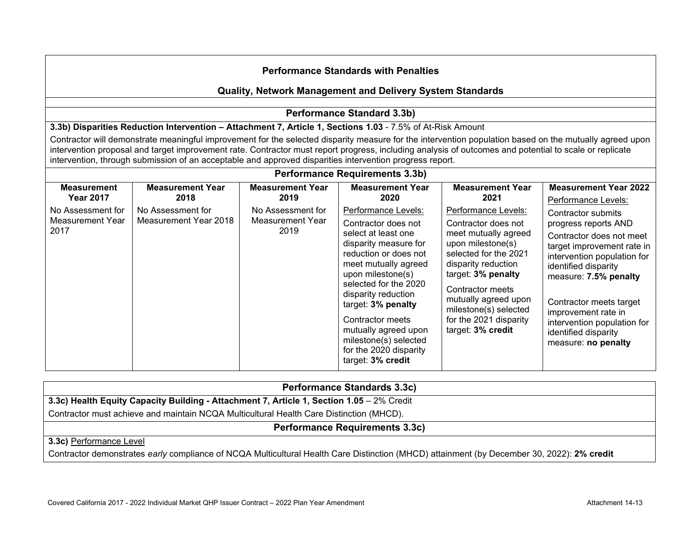## **Quality, Network Management and Delivery System Standards**

## **Performance Standard 3.3b)**

**3.3b) Disparities Reduction Intervention – Attachment 7, Article 1, Sections 1.03** - 7.5% of At-Risk Amount

Contractor will demonstrate meaningful improvement for the selected disparity measure for the intervention population based on the mutually agreed upon intervention proposal and target improvement rate. Contractor must report progress, including analysis of outcomes and potential to scale or replicate intervention, through submission of an acceptable and approved disparities intervention progress report.

| <b>Performance Requirements 3.3b)</b>         |                                            |                                               |                                                                                                                                                                                                                                                                                                                                                            |                                                                                                                                                                                                                                                                                   |                                                                                                                                                                                                                                                                                                                             |  |  |
|-----------------------------------------------|--------------------------------------------|-----------------------------------------------|------------------------------------------------------------------------------------------------------------------------------------------------------------------------------------------------------------------------------------------------------------------------------------------------------------------------------------------------------------|-----------------------------------------------------------------------------------------------------------------------------------------------------------------------------------------------------------------------------------------------------------------------------------|-----------------------------------------------------------------------------------------------------------------------------------------------------------------------------------------------------------------------------------------------------------------------------------------------------------------------------|--|--|
| <b>Measurement</b><br><b>Year 2017</b>        | <b>Measurement Year</b><br>2018            | <b>Measurement Year</b><br>2019               | <b>Measurement Year</b><br>2020                                                                                                                                                                                                                                                                                                                            | <b>Measurement Year</b><br>2021                                                                                                                                                                                                                                                   | <b>Measurement Year 2022</b><br>Performance Levels:                                                                                                                                                                                                                                                                         |  |  |
| No Assessment for<br>Measurement Year<br>2017 | No Assessment for<br>Measurement Year 2018 | No Assessment for<br>Measurement Year<br>2019 | Performance Levels:<br>Contractor does not<br>select at least one<br>disparity measure for<br>reduction or does not<br>meet mutually agreed<br>upon milestone(s)<br>selected for the 2020<br>disparity reduction<br>target: 3% penalty<br>Contractor meets<br>mutually agreed upon<br>milestone(s) selected<br>for the 2020 disparity<br>target: 3% credit | Performance Levels:<br>Contractor does not<br>meet mutually agreed<br>upon milestone(s)<br>selected for the 2021<br>disparity reduction<br>target: 3% penalty<br>Contractor meets<br>mutually agreed upon<br>milestone(s) selected<br>for the 2021 disparity<br>target: 3% credit | Contractor submits<br>progress reports AND<br>Contractor does not meet<br>target improvement rate in<br>intervention population for<br>identified disparity<br>measure: 7.5% penalty<br>Contractor meets target<br>improvement rate in<br>intervention population for<br>identified disparity<br>measure: <b>no penalty</b> |  |  |

| <b>Performance Standards 3.3c)</b>                                                                                                         |  |  |  |  |
|--------------------------------------------------------------------------------------------------------------------------------------------|--|--|--|--|
| 3.3c) Health Equity Capacity Building - Attachment 7, Article 1, Section 1.05 - 2% Credit                                                  |  |  |  |  |
| Contractor must achieve and maintain NCQA Multicultural Health Care Distinction (MHCD).                                                    |  |  |  |  |
| <b>Performance Requirements 3.3c)</b>                                                                                                      |  |  |  |  |
| 3.3c) Performance Level                                                                                                                    |  |  |  |  |
| Contractor demonstrates early compliance of NCQA Multicultural Health Care Distinction (MHCD) attainment (by December 30, 2022): 2% credit |  |  |  |  |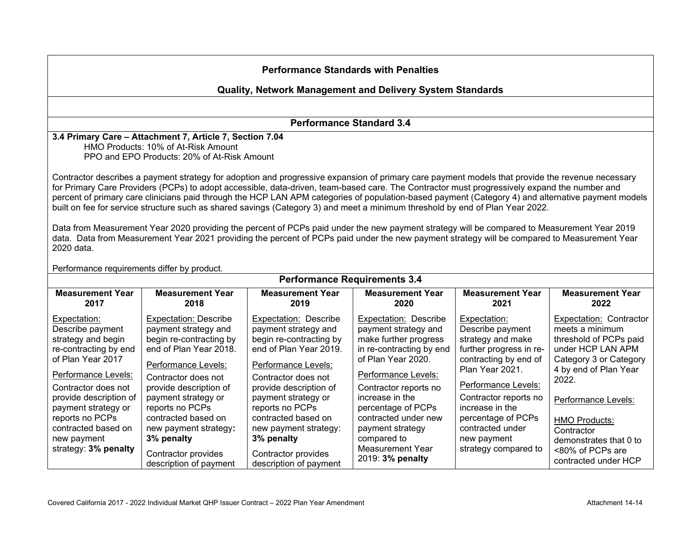## **Quality, Network Management and Delivery System Standards**

**Performance Standard 3.4**

**3.4 Primary Care – Attachment 7, Article 7, Section 7.04** HMO Products: 10% of At-Risk Amount PPO and EPO Products: 20% of At-Risk Amount

Contractor describes a payment strategy for adoption and progressive expansion of primary care payment models that provide the revenue necessary for Primary Care Providers (PCPs) to adopt accessible, data-driven, team-based care. The Contractor must progressively expand the number and percent of primary care clinicians paid through the HCP LAN APM categories of population-based payment (Category 4) and alternative payment models built on fee for service structure such as shared savings (Category 3) and meet a minimum threshold by end of Plan Year 2022.

Data from Measurement Year 2020 providing the percent of PCPs paid under the new payment strategy will be compared to Measurement Year 2019 data. Data from Measurement Year 2021 providing the percent of PCPs paid under the new payment strategy will be compared to Measurement Year 2020 data.

| Performance requirements differ by product.                                                                                                           |                                                                                                                                                                                 |                                                                                                                                                                                 |                                                                                                                                                                   |                                                                                                                                                  |                                                                                                                                                              |  |  |
|-------------------------------------------------------------------------------------------------------------------------------------------------------|---------------------------------------------------------------------------------------------------------------------------------------------------------------------------------|---------------------------------------------------------------------------------------------------------------------------------------------------------------------------------|-------------------------------------------------------------------------------------------------------------------------------------------------------------------|--------------------------------------------------------------------------------------------------------------------------------------------------|--------------------------------------------------------------------------------------------------------------------------------------------------------------|--|--|
| <b>Performance Requirements 3.4</b>                                                                                                                   |                                                                                                                                                                                 |                                                                                                                                                                                 |                                                                                                                                                                   |                                                                                                                                                  |                                                                                                                                                              |  |  |
| <b>Measurement Year</b><br>2017                                                                                                                       | <b>Measurement Year</b><br>2018                                                                                                                                                 | <b>Measurement Year</b><br>2019                                                                                                                                                 | <b>Measurement Year</b><br>2020                                                                                                                                   | <b>Measurement Year</b><br>2021                                                                                                                  | <b>Measurement Year</b><br>2022                                                                                                                              |  |  |
| Expectation:<br>Describe payment<br>strategy and begin<br>re-contracting by end<br>of Plan Year 2017<br>Performance Levels:                           | <b>Expectation: Describe</b><br>payment strategy and<br>begin re-contracting by<br>end of Plan Year 2018.<br>Performance Levels:<br>Contractor does not                         | <b>Expectation: Describe</b><br>payment strategy and<br>begin re-contracting by<br>end of Plan Year 2019.<br>Performance Levels:<br>Contractor does not                         | <b>Expectation: Describe</b><br>payment strategy and<br>make further progress<br>in re-contracting by end<br>of Plan Year 2020.<br>Performance Levels:            | Expectation:<br>Describe payment<br>strategy and make<br>further progress in re-<br>contracting by end of<br>Plan Year 2021.                     | <b>Expectation: Contractor</b><br>meets a minimum<br>threshold of PCPs paid<br>under HCP LAN APM<br>Category 3 or Category<br>4 by end of Plan Year<br>2022. |  |  |
| Contractor does not<br>provide description of<br>payment strategy or<br>reports no PCPs<br>contracted based on<br>new payment<br>strategy: 3% penalty | provide description of<br>payment strategy or<br>reports no PCPs<br>contracted based on<br>new payment strategy:<br>3% penalty<br>Contractor provides<br>description of payment | provide description of<br>payment strategy or<br>reports no PCPs<br>contracted based on<br>new payment strategy:<br>3% penalty<br>Contractor provides<br>description of payment | Contractor reports no<br>increase in the<br>percentage of PCPs<br>contracted under new<br>payment strategy<br>compared to<br>Measurement Year<br>2019: 3% penalty | Performance Levels:<br>Contractor reports no<br>increase in the<br>percentage of PCPs<br>contracted under<br>new payment<br>strategy compared to | Performance Levels:<br><b>HMO Products:</b><br>Contractor<br>demonstrates that 0 to<br><80% of PCPs are<br>contracted under HCP                              |  |  |

Performance requirements differ by product.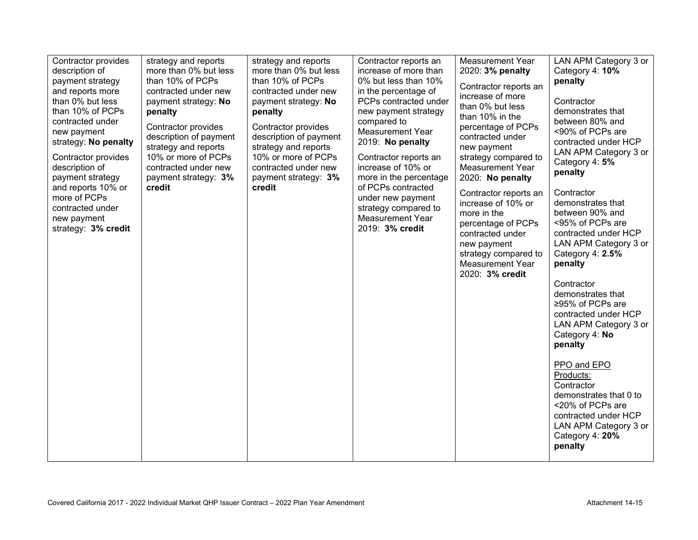| Contractor provides<br>description of<br>payment strategy<br>and reports more<br>than 0% but less<br>than 10% of PCPs<br>contracted under<br>new payment<br>strategy: No penalty<br>Contractor provides<br>description of<br>payment strategy<br>and reports 10% or<br>more of PCPs<br>contracted under<br>new payment<br>strategy: 3% credit | strategy and reports<br>more than 0% but less<br>than 10% of PCPs<br>contracted under new<br>payment strategy: No<br>penalty<br>Contractor provides<br>description of payment<br>strategy and reports<br>10% or more of PCPs<br>contracted under new<br>payment strategy: 3%<br>credit | strategy and reports<br>more than 0% but less<br>than 10% of PCPs<br>contracted under new<br>payment strategy: No<br>penalty<br>Contractor provides<br>description of payment<br>strategy and reports<br>10% or more of PCPs<br>contracted under new<br>payment strategy: 3%<br>credit | Contractor reports an<br>increase of more than<br>0% but less than 10%<br>in the percentage of<br>PCPs contracted under<br>new payment strategy<br>compared to<br><b>Measurement Year</b><br>2019: No penalty<br>Contractor reports an<br>increase of 10% or<br>more in the percentage<br>of PCPs contracted<br>under new payment<br>strategy compared to<br>Measurement Year<br>2019: 3% credit | <b>Measurement Year</b><br>2020: 3% penalty<br>Contractor reports an<br>increase of more<br>than 0% but less<br>than 10% in the<br>percentage of PCPs<br>contracted under<br>new payment<br>strategy compared to<br><b>Measurement Year</b><br>2020: No penalty<br>Contractor reports an<br>increase of 10% or<br>more in the<br>percentage of PCPs<br>contracted under<br>new payment<br>strategy compared to<br><b>Measurement Year</b><br>2020: 3% credit | LAN APM Category 3 or<br>Category 4: 10%<br>penalty<br>Contractor<br>demonstrates that<br>between 80% and<br><90% of PCPs are<br>contracted under HCP<br>LAN APM Category 3 or<br>Category 4: 5%<br>penalty<br>Contractor<br>demonstrates that<br>between 90% and<br><95% of PCPs are<br>contracted under HCP<br>LAN APM Category 3 or<br>Category 4: 2.5%<br>penalty<br>Contractor<br>demonstrates that<br>≥95% of PCPs are<br>contracted under HCP<br>LAN APM Category 3 or<br>Category 4: No<br>penalty<br>PPO and EPO<br>Products:<br>Contractor<br>demonstrates that 0 to<br><20% of PCPs are<br>contracted under HCP<br>LAN APM Category 3 or<br>Category 4: 20%<br>penalty |
|-----------------------------------------------------------------------------------------------------------------------------------------------------------------------------------------------------------------------------------------------------------------------------------------------------------------------------------------------|----------------------------------------------------------------------------------------------------------------------------------------------------------------------------------------------------------------------------------------------------------------------------------------|----------------------------------------------------------------------------------------------------------------------------------------------------------------------------------------------------------------------------------------------------------------------------------------|--------------------------------------------------------------------------------------------------------------------------------------------------------------------------------------------------------------------------------------------------------------------------------------------------------------------------------------------------------------------------------------------------|--------------------------------------------------------------------------------------------------------------------------------------------------------------------------------------------------------------------------------------------------------------------------------------------------------------------------------------------------------------------------------------------------------------------------------------------------------------|-----------------------------------------------------------------------------------------------------------------------------------------------------------------------------------------------------------------------------------------------------------------------------------------------------------------------------------------------------------------------------------------------------------------------------------------------------------------------------------------------------------------------------------------------------------------------------------------------------------------------------------------------------------------------------------|
|-----------------------------------------------------------------------------------------------------------------------------------------------------------------------------------------------------------------------------------------------------------------------------------------------------------------------------------------------|----------------------------------------------------------------------------------------------------------------------------------------------------------------------------------------------------------------------------------------------------------------------------------------|----------------------------------------------------------------------------------------------------------------------------------------------------------------------------------------------------------------------------------------------------------------------------------------|--------------------------------------------------------------------------------------------------------------------------------------------------------------------------------------------------------------------------------------------------------------------------------------------------------------------------------------------------------------------------------------------------|--------------------------------------------------------------------------------------------------------------------------------------------------------------------------------------------------------------------------------------------------------------------------------------------------------------------------------------------------------------------------------------------------------------------------------------------------------------|-----------------------------------------------------------------------------------------------------------------------------------------------------------------------------------------------------------------------------------------------------------------------------------------------------------------------------------------------------------------------------------------------------------------------------------------------------------------------------------------------------------------------------------------------------------------------------------------------------------------------------------------------------------------------------------|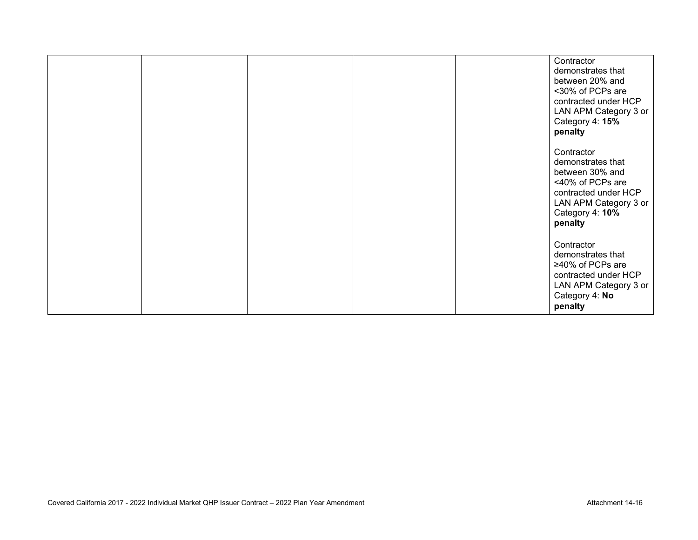|  |  | Contractor<br>demonstrates that<br>between 20% and<br><30% of PCPs are<br>contracted under HCP<br>LAN APM Category 3 or<br>Category 4: 15%<br>penalty |
|--|--|-------------------------------------------------------------------------------------------------------------------------------------------------------|
|  |  | Contractor<br>demonstrates that<br>between 30% and<br><40% of PCPs are<br>contracted under HCP<br>LAN APM Category 3 or<br>Category 4: 10%<br>penalty |
|  |  | Contractor<br>demonstrates that<br>≥40% of PCPs are<br>contracted under HCP<br>LAN APM Category 3 or<br>Category 4: No<br>penalty                     |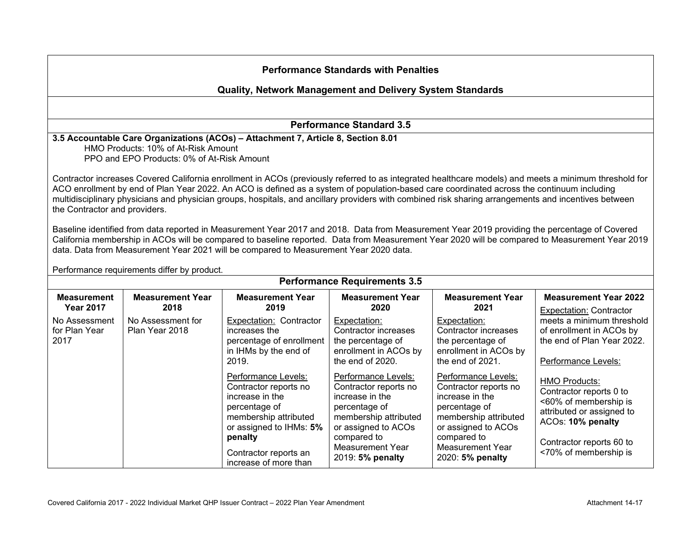#### **Quality, Network Management and Delivery System Standards**

**Performance Standard 3.5**

### **3.5 Accountable Care Organizations (ACOs) – Attachment 7, Article 8, Section 8.01**

HMO Products: 10% of At-Risk Amount PPO and EPO Products: 0% of At-Risk Amount

Contractor increases Covered California enrollment in ACOs (previously referred to as integrated healthcare models) and meets a minimum threshold for ACO enrollment by end of Plan Year 2022. An ACO is defined as a system of population-based care coordinated across the continuum including multidisciplinary physicians and physician groups, hospitals, and ancillary providers with combined risk sharing arrangements and incentives between the Contractor and providers.

Baseline identified from data reported in Measurement Year 2017 and 2018. Data from Measurement Year 2019 providing the percentage of Covered California membership in ACOs will be compared to baseline reported. Data from Measurement Year 2020 will be compared to Measurement Year 2019 data. Data from Measurement Year 2021 will be compared to Measurement Year 2020 data.

| Performance requirements differ by product.<br><b>Performance Requirements 3.5</b> |                                                                                                                                                                          |                                                                                                                                                                                         |                                                                                                                                                                                         |                                                                                                                                                                                 |                                                                                                            |  |  |  |
|------------------------------------------------------------------------------------|--------------------------------------------------------------------------------------------------------------------------------------------------------------------------|-----------------------------------------------------------------------------------------------------------------------------------------------------------------------------------------|-----------------------------------------------------------------------------------------------------------------------------------------------------------------------------------------|---------------------------------------------------------------------------------------------------------------------------------------------------------------------------------|------------------------------------------------------------------------------------------------------------|--|--|--|
| <b>Measurement</b><br><b>Year 2017</b>                                             | <b>Measurement Year</b><br>2018                                                                                                                                          | <b>Measurement Year</b><br>2019                                                                                                                                                         | <b>Measurement Year</b><br>2020                                                                                                                                                         | <b>Measurement Year</b><br>2021                                                                                                                                                 | <b>Measurement Year 2022</b><br>Expectation: Contractor                                                    |  |  |  |
| No Assessment<br>for Plan Year<br>2017                                             | No Assessment for<br>Plan Year 2018                                                                                                                                      | Expectation: Contractor<br>increases the<br>percentage of enrollment<br>in IHMs by the end of<br>2019.                                                                                  | Expectation:<br>Contractor increases<br>the percentage of<br>enrollment in ACOs by<br>the end of 2020.                                                                                  | Expectation:<br>Contractor increases<br>the percentage of<br>enrollment in ACOs by<br>the end of 2021.                                                                          | meets a minimum threshold<br>of enrollment in ACOs by<br>the end of Plan Year 2022.<br>Performance Levels: |  |  |  |
|                                                                                    | Performance Levels:<br>Contractor reports no<br>increase in the<br>percentage of<br>membership attributed<br>or assigned to IHMs: 5%<br>penalty<br>Contractor reports an | Performance Levels:<br>Contractor reports no<br>increase in the<br>percentage of<br>membership attributed<br>or assigned to ACOs<br>compared to<br>Measurement Year<br>2019: 5% penalty | Performance Levels:<br>Contractor reports no<br>increase in the<br>percentage of<br>membership attributed<br>or assigned to ACOs<br>compared to<br>Measurement Year<br>2020: 5% penalty | <b>HMO Products:</b><br>Contractor reports 0 to<br><60% of membership is<br>attributed or assigned to<br>ACOs: 10% penalty<br>Contractor reports 60 to<br><70% of membership is |                                                                                                            |  |  |  |

Performance requirements differ by product.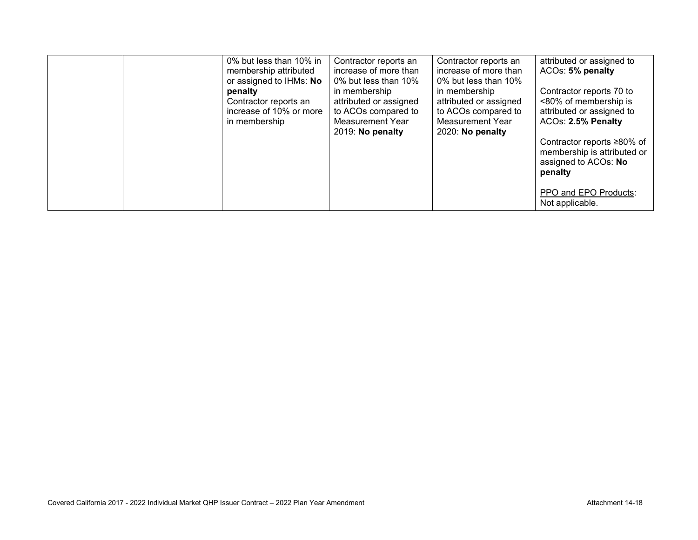| 0% but less than 10% in<br>membership attributed<br>or assigned to IHMs: No<br>penalty<br>Contractor reports an<br>increase of 10% or more<br>in membership | Contractor reports an<br>increase of more than<br>0% but less than 10%<br>in membership<br>attributed or assigned<br>to ACOs compared to<br><b>Measurement Year</b><br>2019: No penalty | Contractor reports an<br>increase of more than<br>0% but less than 10%<br>in membership<br>attributed or assigned<br>to ACOs compared to<br>Measurement Year<br>2020: No penalty | attributed or assigned to<br>ACOs: 5% penalty<br>Contractor reports 70 to<br><80% of membership is<br>attributed or assigned to<br>ACOs: 2.5% Penalty<br>Contractor reports ≥80% of<br>membership is attributed or<br>assigned to ACOs: No<br>penalty |
|-------------------------------------------------------------------------------------------------------------------------------------------------------------|-----------------------------------------------------------------------------------------------------------------------------------------------------------------------------------------|----------------------------------------------------------------------------------------------------------------------------------------------------------------------------------|-------------------------------------------------------------------------------------------------------------------------------------------------------------------------------------------------------------------------------------------------------|
|                                                                                                                                                             |                                                                                                                                                                                         |                                                                                                                                                                                  | PPO and EPO Products:<br>Not applicable.                                                                                                                                                                                                              |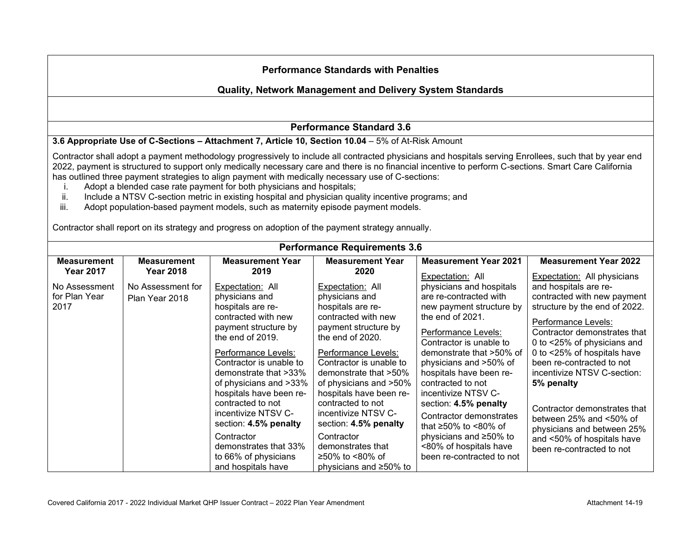## **Quality, Network Management and Delivery System Standards**

## **Performance Standard 3.6**

#### **3.6 Appropriate Use of C-Sections – Attachment 7, Article 10, Section 10.04** – 5% of At-Risk Amount

Contractor shall adopt a payment methodology progressively to include all contracted physicians and hospitals serving Enrollees, such that by year end 2022, payment is structured to support only medically necessary care and there is no financial incentive to perform C-sections. Smart Care California has outlined three payment strategies to align payment with medically necessary use of C-sections:<br>Adopt a blended case rate payment for both physicians and hospitals:

- i. Adopt a blended case rate payment for both physicians and hospitals;
- Include a NTSV C-section metric in existing hospital and physician quality incentive programs; and
- iii. Adopt population-based payment models, such as maternity episode payment models.

Contractor shall report on its strategy and progress on adoption of the payment strategy annually.

| <b>Performance Requirements 3.6</b>    |                                        |                                 |                                 |                                    |                                    |  |  |
|----------------------------------------|----------------------------------------|---------------------------------|---------------------------------|------------------------------------|------------------------------------|--|--|
| <b>Measurement</b><br><b>Year 2017</b> | <b>Measurement</b><br><b>Year 2018</b> | <b>Measurement Year</b><br>2019 | <b>Measurement Year</b><br>2020 | <b>Measurement Year 2021</b>       | <b>Measurement Year 2022</b>       |  |  |
|                                        |                                        |                                 |                                 | Expectation: All                   | <b>Expectation:</b> All physicians |  |  |
| No Assessment                          | No Assessment for                      | Expectation: All                | Expectation: All                | physicians and hospitals           | and hospitals are re-              |  |  |
| for Plan Year                          | Plan Year 2018                         | physicians and                  | physicians and                  | are re-contracted with             | contracted with new payment        |  |  |
| 2017                                   |                                        | hospitals are re-               | hospitals are re-               | new payment structure by           | structure by the end of 2022.      |  |  |
|                                        |                                        | contracted with new             | contracted with new             | the end of 2021.                   | Performance Levels:                |  |  |
|                                        |                                        | payment structure by            | payment structure by            | Performance Levels:                | Contractor demonstrates that       |  |  |
|                                        |                                        | the end of 2019.                | the end of $2020$ .             | Contractor is unable to            | 0 to <25% of physicians and        |  |  |
|                                        |                                        | Performance Levels:             | Performance Levels:             | demonstrate that >50% of           | 0 to <25% of hospitals have        |  |  |
|                                        |                                        | Contractor is unable to         | Contractor is unable to         | physicians and >50% of             | been re-contracted to not          |  |  |
|                                        |                                        | demonstrate that >33%           | demonstrate that >50%           | hospitals have been re-            | incentivize NTSV C-section:        |  |  |
|                                        |                                        | of physicians and >33%          | of physicians and >50%          | contracted to not                  | 5% penalty                         |  |  |
|                                        |                                        | hospitals have been re-         | hospitals have been re-         | incentivize NTSV C-                |                                    |  |  |
|                                        |                                        | contracted to not               | contracted to not               | section: 4.5% penalty              | Contractor demonstrates that       |  |  |
|                                        |                                        | incentivize NTSV C-             | incentivize NTSV C-             | Contractor demonstrates            | between $25%$ and $\leq 50%$ of    |  |  |
|                                        |                                        | section: 4.5% penalty           | section: 4.5% penalty           | that $\geq 50\%$ to $\leq 80\%$ of | physicians and between 25%         |  |  |
|                                        |                                        | Contractor                      | Contractor                      | physicians and ≥50% to             | and <50% of hospitals have         |  |  |
|                                        |                                        | demonstrates that 33%           | demonstrates that               | <80% of hospitals have             | been re-contracted to not          |  |  |
|                                        |                                        | to 66% of physicians            | ≥50% to <80% of                 | been re-contracted to not          |                                    |  |  |
|                                        |                                        | and hospitals have              | physicians and $\geq 50\%$ to   |                                    |                                    |  |  |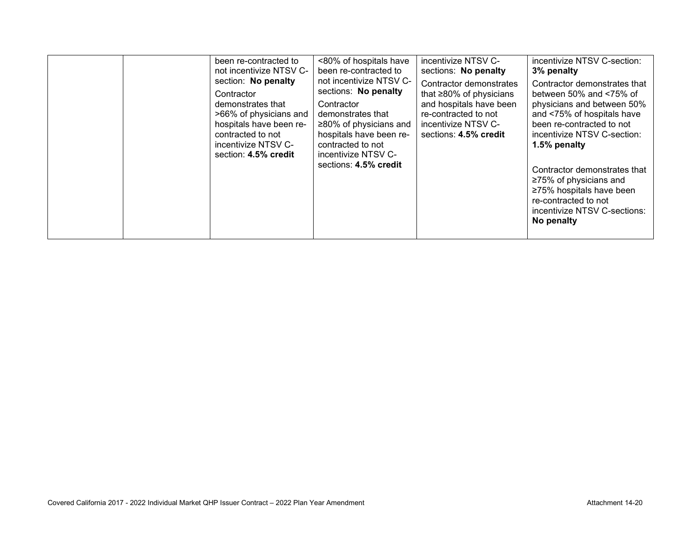|  | been re-contracted to<br>not incentivize NTSV C-<br>section: No penalty<br>Contractor<br>demonstrates that<br>>66% of physicians and<br>hospitals have been re-<br>contracted to not<br>incentivize NTSV C-<br>section: 4.5% credit | <80% of hospitals have<br>been re-contracted to<br>not incentivize NTSV C-<br>sections: No penalty<br>Contractor<br>demonstrates that<br>≥80% of physicians and<br>hospitals have been re-<br>contracted to not<br>incentivize NTSV C-<br>sections: 4.5% credit | incentivize NTSV C-<br>sections: No penalty<br>Contractor demonstrates<br>that $\geq$ 80% of physicians<br>and hospitals have been<br>re-contracted to not<br>incentivize NTSV C-<br>sections: 4.5% credit | incentivize NTSV C-section:<br>3% penalty<br>Contractor demonstrates that<br>between 50% and $\leq 75\%$ of<br>physicians and between 50%<br>and <75% of hospitals have<br>been re-contracted to not<br>incentivize NTSV C-section:<br>1.5% penalty<br>Contractor demonstrates that<br>$\geq$ 75% of physicians and<br>≥75% hospitals have been<br>re-contracted to not<br>incentivize NTSV C-sections:<br>No penalty |
|--|-------------------------------------------------------------------------------------------------------------------------------------------------------------------------------------------------------------------------------------|-----------------------------------------------------------------------------------------------------------------------------------------------------------------------------------------------------------------------------------------------------------------|------------------------------------------------------------------------------------------------------------------------------------------------------------------------------------------------------------|-----------------------------------------------------------------------------------------------------------------------------------------------------------------------------------------------------------------------------------------------------------------------------------------------------------------------------------------------------------------------------------------------------------------------|
|--|-------------------------------------------------------------------------------------------------------------------------------------------------------------------------------------------------------------------------------------|-----------------------------------------------------------------------------------------------------------------------------------------------------------------------------------------------------------------------------------------------------------------|------------------------------------------------------------------------------------------------------------------------------------------------------------------------------------------------------------|-----------------------------------------------------------------------------------------------------------------------------------------------------------------------------------------------------------------------------------------------------------------------------------------------------------------------------------------------------------------------------------------------------------------------|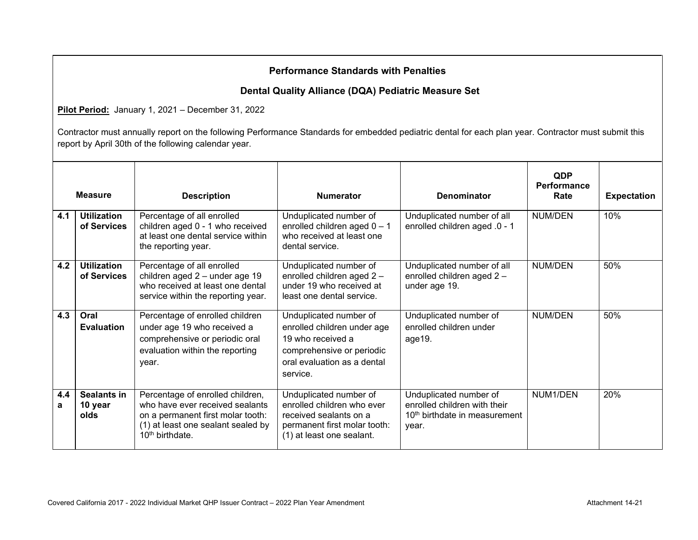## **Dental Quality Alliance (DQA) Pediatric Measure Set**

**Pilot Period:** January 1, 2021 – December 31, 2022

|          | <b>Measure</b>                    | <b>Description</b>                                                                                                                                                  | <b>Numerator</b>                                                                                                                                   | <b>Denominator</b>                                                                                           | <b>QDP</b><br>Performance<br>Rate | <b>Expectation</b> |
|----------|-----------------------------------|---------------------------------------------------------------------------------------------------------------------------------------------------------------------|----------------------------------------------------------------------------------------------------------------------------------------------------|--------------------------------------------------------------------------------------------------------------|-----------------------------------|--------------------|
| 4.1      | <b>Utilization</b><br>of Services | Percentage of all enrolled<br>children aged 0 - 1 who received<br>at least one dental service within<br>the reporting year.                                         | Unduplicated number of<br>enrolled children aged $0 - 1$<br>who received at least one<br>dental service.                                           | Unduplicated number of all<br>enrolled children aged .0 - 1                                                  | NUM/DEN                           | 10%                |
| 4.2      | <b>Utilization</b><br>of Services | Percentage of all enrolled<br>children aged 2 - under age 19<br>who received at least one dental<br>service within the reporting year.                              | Unduplicated number of<br>enrolled children aged 2-<br>under 19 who received at<br>least one dental service.                                       | Unduplicated number of all<br>enrolled children aged 2 -<br>under age 19.                                    | <b>NUM/DEN</b>                    | 50%                |
| 4.3      | Oral<br><b>Evaluation</b>         | Percentage of enrolled children<br>under age 19 who received a<br>comprehensive or periodic oral<br>evaluation within the reporting<br>year.                        | Unduplicated number of<br>enrolled children under age<br>19 who received a<br>comprehensive or periodic<br>oral evaluation as a dental<br>service. | Unduplicated number of<br>enrolled children under<br>age19.                                                  | <b>NUM/DEN</b>                    | 50%                |
| 4.4<br>a | Sealants in<br>10 year<br>olds    | Percentage of enrolled children,<br>who have ever received sealants<br>on a permanent first molar tooth:<br>(1) at least one sealant sealed by<br>$10th$ birthdate. | Unduplicated number of<br>enrolled children who ever<br>received sealants on a<br>permanent first molar tooth:<br>(1) at least one sealant.        | Unduplicated number of<br>enrolled children with their<br>10 <sup>th</sup> birthdate in measurement<br>year. | NUM1/DEN                          | 20%                |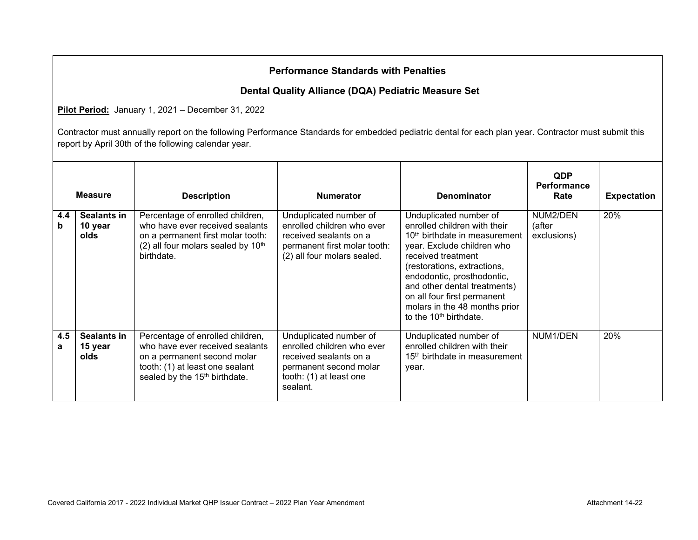## **Dental Quality Alliance (DQA) Pediatric Measure Set**

**Pilot Period:** January 1, 2021 – December 31, 2022

|          | <b>Measure</b>                 | <b>Description</b>                                                                                                                                                                 | <b>Numerator</b>                                                                                                                                | <b>Denominator</b>                                                                                                                                                                                                                                                                                                                                         | <b>QDP</b><br><b>Performance</b><br>Rate | <b>Expectation</b> |
|----------|--------------------------------|------------------------------------------------------------------------------------------------------------------------------------------------------------------------------------|-------------------------------------------------------------------------------------------------------------------------------------------------|------------------------------------------------------------------------------------------------------------------------------------------------------------------------------------------------------------------------------------------------------------------------------------------------------------------------------------------------------------|------------------------------------------|--------------------|
| 4.4<br>b | Sealants in<br>10 year<br>olds | Percentage of enrolled children,<br>who have ever received sealants<br>on a permanent first molar tooth:<br>$(2)$ all four molars sealed by 10 <sup>th</sup><br>birthdate.         | Unduplicated number of<br>enrolled children who ever<br>received sealants on a<br>permanent first molar tooth:<br>(2) all four molars sealed.   | Unduplicated number of<br>enrolled children with their<br>10 <sup>th</sup> birthdate in measurement<br>year. Exclude children who<br>received treatment<br>(restorations, extractions,<br>endodontic, prosthodontic,<br>and other dental treatments)<br>on all four first permanent<br>molars in the 48 months prior<br>to the 10 <sup>th</sup> birthdate. | NUM2/DEN<br>(after<br>exclusions)        | 20%                |
| 4.5<br>a | Sealants in<br>15 year<br>olds | Percentage of enrolled children,<br>who have ever received sealants<br>on a permanent second molar<br>tooth: (1) at least one sealant<br>sealed by the 15 <sup>th</sup> birthdate. | Unduplicated number of<br>enrolled children who ever<br>received sealants on a<br>permanent second molar<br>tooth: (1) at least one<br>sealant. | Unduplicated number of<br>enrolled children with their<br>15 <sup>th</sup> birthdate in measurement<br>year.                                                                                                                                                                                                                                               | NUM1/DEN                                 | 20%                |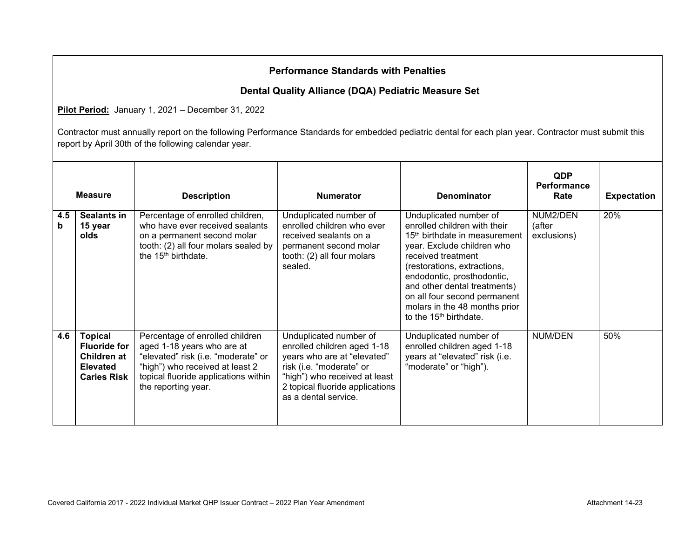## **Dental Quality Alliance (DQA) Pediatric Measure Set**

**Pilot Period:** January 1, 2021 – December 31, 2022

|          | <b>Measure</b>                                                                                | <b>Description</b>                                                                                                                                                                                     | <b>Numerator</b>                                                                                                                                                                                             | <b>Denominator</b>                                                                                                                                                                                                                                                                                                                                          | <b>QDP</b><br>Performance<br>Rate | <b>Expectation</b> |
|----------|-----------------------------------------------------------------------------------------------|--------------------------------------------------------------------------------------------------------------------------------------------------------------------------------------------------------|--------------------------------------------------------------------------------------------------------------------------------------------------------------------------------------------------------------|-------------------------------------------------------------------------------------------------------------------------------------------------------------------------------------------------------------------------------------------------------------------------------------------------------------------------------------------------------------|-----------------------------------|--------------------|
| 4.5<br>b | <b>Sealants in</b><br>15 year<br>olds                                                         | Percentage of enrolled children,<br>who have ever received sealants<br>on a permanent second molar<br>tooth: (2) all four molars sealed by<br>the 15 <sup>th</sup> birthdate.                          | Unduplicated number of<br>enrolled children who ever<br>received sealants on a<br>permanent second molar<br>tooth: (2) all four molars<br>sealed.                                                            | Unduplicated number of<br>enrolled children with their<br>15 <sup>th</sup> birthdate in measurement<br>year. Exclude children who<br>received treatment<br>(restorations, extractions,<br>endodontic, prosthodontic,<br>and other dental treatments)<br>on all four second permanent<br>molars in the 48 months prior<br>to the 15 <sup>th</sup> birthdate. | NUM2/DEN<br>(after<br>exclusions) | 20%                |
| 4.6      | <b>Topical</b><br><b>Fluoride for</b><br>Children at<br><b>Elevated</b><br><b>Caries Risk</b> | Percentage of enrolled children<br>aged 1-18 years who are at<br>"elevated" risk (i.e. "moderate" or<br>"high") who received at least 2<br>topical fluoride applications within<br>the reporting year. | Unduplicated number of<br>enrolled children aged 1-18<br>years who are at "elevated"<br>risk (i.e. "moderate" or<br>"high") who received at least<br>2 topical fluoride applications<br>as a dental service. | Unduplicated number of<br>enrolled children aged 1-18<br>years at "elevated" risk (i.e.<br>"moderate" or "high").                                                                                                                                                                                                                                           | NUM/DEN                           | 50%                |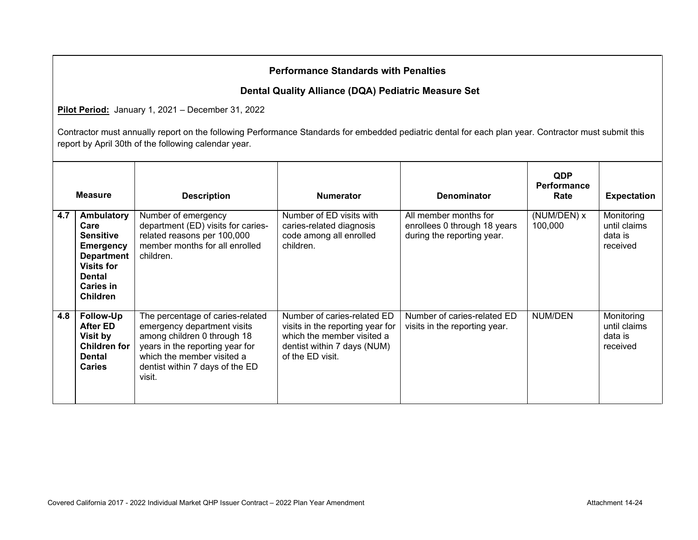## **Dental Quality Alliance (DQA) Pediatric Measure Set**

**Pilot Period:** January 1, 2021 – December 31, 2022

|     | <b>Measure</b>                                                                                                                                        | <b>Description</b>                                                                                                                                                                                           | <b>Numerator</b>                                                                                                                                 | <b>Denominator</b>                                                                  | <b>QDP</b><br><b>Performance</b><br>Rate | <b>Expectation</b>                                |
|-----|-------------------------------------------------------------------------------------------------------------------------------------------------------|--------------------------------------------------------------------------------------------------------------------------------------------------------------------------------------------------------------|--------------------------------------------------------------------------------------------------------------------------------------------------|-------------------------------------------------------------------------------------|------------------------------------------|---------------------------------------------------|
| 4.7 | Ambulatory<br>Care<br><b>Sensitive</b><br><b>Emergency</b><br><b>Department</b><br><b>Visits for</b><br>Dental<br><b>Caries in</b><br><b>Children</b> | Number of emergency<br>department (ED) visits for caries-<br>related reasons per 100,000<br>member months for all enrolled<br>children.                                                                      | Number of ED visits with<br>caries-related diagnosis<br>code among all enrolled<br>children.                                                     | All member months for<br>enrollees 0 through 18 years<br>during the reporting year. | (NUM/DEN) x<br>100,000                   | Monitoring<br>until claims<br>data is<br>received |
| 4.8 | Follow-Up<br>After ED<br>Visit by<br><b>Children for</b><br>Dental<br><b>Caries</b>                                                                   | The percentage of caries-related<br>emergency department visits<br>among children 0 through 18<br>years in the reporting year for<br>which the member visited a<br>dentist within 7 days of the ED<br>visit. | Number of caries-related ED<br>visits in the reporting year for<br>which the member visited a<br>dentist within 7 days (NUM)<br>of the ED visit. | Number of caries-related ED<br>visits in the reporting year.                        | NUM/DEN                                  | Monitoring<br>until claims<br>data is<br>received |